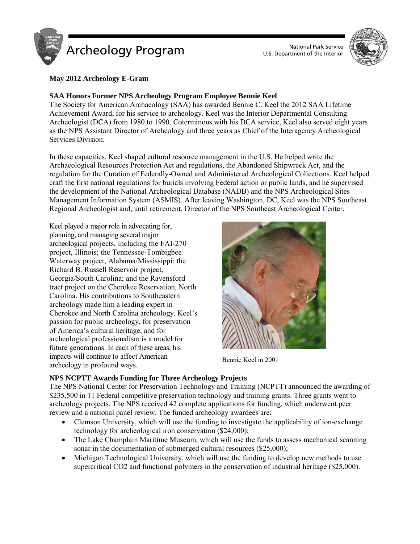

U.S. Department of the Interior



## **May 2012 Archeology E-Gram**

## **SAA Honors Former NPS Archeology Program Employee Bennie Keel**

The Society for American Archaeology (SAA) has awarded Bennie C. Keel the 2012 SAA Lifetime Achievement Award, for his service to archeology. Keel was the Interior Departmental Consulting Archeologist (DCA) from 1980 to 1990. Coterminous with his DCA service, Keel also served eight years as the NPS Assistant Director of Archeology and three years as Chief of the Interagency Archeological Services Division.

In these capacities, Keel shaped cultural resource management in the U.S. He helped write the Archaeological Resources Protection Act and regulations, the Abandoned Shipwreck Act, and the regulation for the Curation of Federally-Owned and Administered Archeological Collections. Keel helped craft the first national regulations for burials involving Federal action or public lands, and he supervised the development of the National Archeological Database (NADB) and the NPS Archeological Sites Management Information System (ASMIS). After leaving Washington, DC, Keel was the NPS Southeast Regional Archeologist and, until retirement, Director of the NPS Southeast Archeological Center.

Keel played a major role in advocating for, planning, and managing several major archeological projects, including the FAI-270 project, Illinois; the Tennessee-Tombigbee Waterway project, Alabama/Mississippi; the Richard B. Russell Reservoir project, Georgia/South Carolina; and the Ravensford tract project on the Cherokee Reservation, North Carolina. His contributions to Southeastern archeology made him a leading expert in Cherokee and North Carolina archeology. Keel's passion for public archeology, for preservation of America's cultural heritage, and for archeological professionalism is a model for future generations. In each of these areas, his impacts will continue to affect American archeology in profound ways.<br>
archeology in profound ways.



## **NPS NCPTT Awards Funding for Three Archeology Projects**

The NPS National Center for Preservation Technology and Training (NCPTT) announced the awarding of \$235,500 in 11 Federal competitive preservation technology and training grants. Three grants went to archeology projects. The NPS received 42 complete applications for funding, which underwent peer review and a national panel review. The funded archeology awardees are:

- Clemson University, which will use the funding to investigate the applicability of ion-exchange technology for archeological iron conservation (\$24,000);
- The Lake Champlain Maritime Museum, which will use the funds to assess mechanical scanning sonar in the documentation of submerged cultural resources (\$25,000);
- Michigan Technological University, which will use the funding to develop new methods to use supercritical CO2 and functional polymers in the conservation of industrial heritage (\$25,000).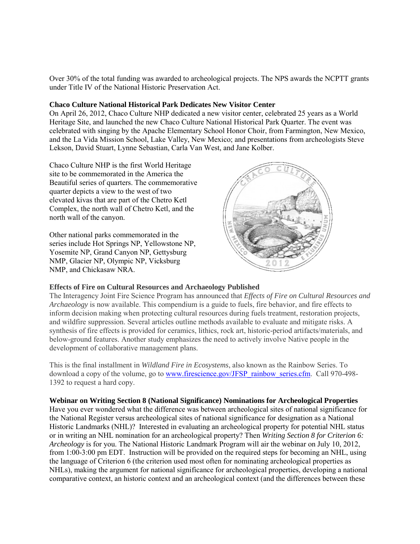Over 30% of the total funding was awarded to archeological projects. The NPS awards the NCPTT grants under Title IV of the National Historic Preservation Act.

## **Chaco Culture National Historical Park Dedicates New Visitor Center**

On April 26, 2012, Chaco Culture NHP dedicated a new visitor center, celebrated 25 years as a World Heritage Site, and launched the new Chaco Culture National Historical Park Quarter. The event was celebrated with singing by the Apache Elementary School Honor Choir, from Farmington, New Mexico, and the La Vida Mission School, Lake Valley, New Mexico; and presentations from archeologists Steve Lekson, David Stuart, Lynne Sebastian, Carla Van West, and Jane Kolber.

Chaco Culture NHP is the first World Heritage site to be commemorated in the America the Beautiful series of quarters. The commemorative quarter depicts a view to the west of two elevated kivas that are part of the Chetro Ketl Complex, the north wall of Chetro Ketl, and the north wall of the canyon.

Other national parks commemorated in the series include Hot Springs NP, Yellowstone NP, Yosemite NP, Grand Canyon NP, Gettysburg NMP, Glacier NP, Olympic NP, Vicksburg NMP, and Chickasaw NRA.



## **Effects of Fire on Cultural Resources and Archaeology Published**

The Interagency Joint Fire Science Program has announced that *Effects of Fire on Cultural Resources and Archaeology* is now available. This compendium is a guide to fuels, fire behavior, and fire effects to inform decision making when protecting cultural resources during fuels treatment, restoration projects, and wildfire suppression. Several articles outline methods available to evaluate and mitigate risks. A synthesis of fire effects is provided for ceramics, lithics, rock art, historic-period artifacts/materials, and below-ground features. Another study emphasizes the need to actively involve Native people in the development of collaborative management plans.

This is the final installment in *Wildland Fire in Ecosystems*, also known as the Rainbow Series. To download a copy of the volume, go to [www.firescience.gov/JFSP\\_rainbow\\_series.cfm.](http://www.firescience.gov/JFSP_rainbow_series.cfm) Call 970-498-1392 to request a hard copy.

**Webinar on Writing Section 8 (National Significance) Nominations for Archeological Properties**  Have you ever wondered what the difference was between archeological sites of national significance for the National Register versus archeological sites of national significance for designation as a National Historic Landmarks (NHL)? Interested in evaluating an archeological property for potential NHL status or in writing an NHL nomination for an archeological property? Then *Writing Section 8 for Criterion 6: Archeology* is for you. The National Historic Landmark Program will air the webinar on July 10, 2012, from 1:00-3:00 pm EDT. Instruction will be provided on the required steps for becoming an NHL, using the language of Criterion 6 (the criterion used most often for nominating archeological properties as NHLs), making the argument for national significance for archeological properties, developing a national comparative context, an historic context and an archeological context (and the differences between these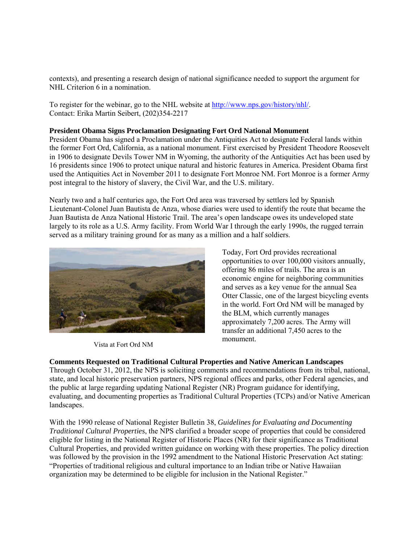contexts), and presenting a research design of national significance needed to support the argument for NHL Criterion 6 in a nomination.

To register for the webinar, go to the NHL website at [http://www.nps.gov/history/nhl/.](http://www.nps.gov/history/nhl/) Contact: Erika Martin Seibert, (202)354-2217

#### **President Obama Signs Proclamation Designating Fort Ord National Monument**

President Obama has signed a Proclamation under the Antiquities Act to designate Federal lands within the former Fort Ord, California, as a national monument. First exercised by President Theodore Roosevelt in 1906 to designate Devils Tower NM in Wyoming, the authority of the Antiquities Act has been used by 16 presidents since 1906 to protect unique natural and historic features in America. President Obama first used the Antiquities Act in November 2011 to designate Fort Monroe NM. Fort Monroe is a former Army post integral to the history of slavery, the Civil War, and the U.S. military.

Nearly two and a half centuries ago, the Fort Ord area was traversed by settlers led by Spanish Lieutenant-Colonel Juan Bautista de Anza, whose diaries were used to identify the route that became the Juan Bautista de Anza National Historic Trail. The area's open landscape owes its undeveloped state largely to its role as a U.S. Army facility. From World War I through the early 1990s, the rugged terrain served as a military training ground for as many as a million and a half soldiers.



Vista at Fort Ord NM

Today, Fort Ord provides recreational opportunities to over 100,000 visitors annually, offering 86 miles of trails. The area is an economic engine for neighboring communities and serves as a key venue for the annual Sea Otter Classic, one of the largest bicycling events in the world. Fort Ord NM will be managed by the BLM, which currently manages approximately 7,200 acres. The Army will transfer an additional 7,450 acres to the monument.

#### **Comments Requested on Traditional Cultural Properties and Native American Landscapes**

Through October 31, 2012, the NPS is soliciting comments and recommendations from its tribal, national, state, and local historic preservation partners, NPS regional offices and parks, other Federal agencies, and the public at large regarding updating National Register (NR) Program guidance for identifying, evaluating, and documenting properties as Traditional Cultural Properties (TCPs) and/or Native American landscapes.

With the 1990 release of National Register Bulletin 38, *Guidelines for Evaluating and Documenting Traditional Cultural Properties*, the NPS clarified a broader scope of properties that could be considered eligible for listing in the National Register of Historic Places (NR) for their significance as Traditional Cultural Properties, and provided written guidance on working with these properties. The policy direction was followed by the provision in the 1992 amendment to the National Historic Preservation Act stating: "Properties of traditional religious and cultural importance to an Indian tribe or Native Hawaiian organization may be determined to be eligible for inclusion in the National Register."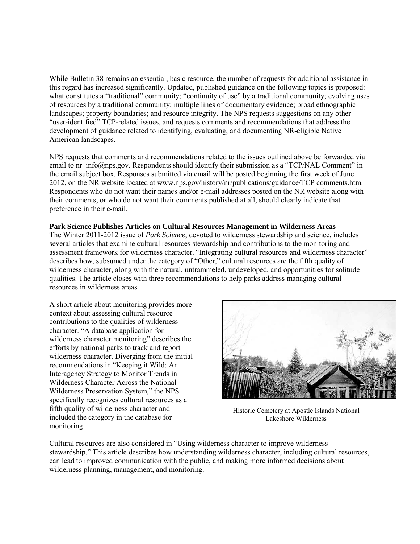While Bulletin 38 remains an essential, basic resource, the number of requests for additional assistance in this regard has increased significantly. Updated, published guidance on the following topics is proposed: what constitutes a "traditional" community; "continuity of use" by a traditional community; evolving uses of resources by a traditional community; multiple lines of documentary evidence; broad ethnographic landscapes; property boundaries; and resource integrity. The NPS requests suggestions on any other "user-identified" TCP-related issues, and requests comments and recommendations that address the development of guidance related to identifying, evaluating, and documenting NR-eligible Native American landscapes.

NPS requests that comments and recommendations related to the issues outlined above be forwarded via email to nr info@nps.gov. Respondents should identify their submission as a "TCP/NAL Comment" in the email subject box. Responses submitted via email will be posted beginning the first week of June 2012, on the NR website located at www.nps.gov/history/nr/publications/guidance/TCP comments.htm. Respondents who do not want their names and/or e-mail addresses posted on the NR website along with their comments, or who do not want their comments published at all, should clearly indicate that preference in their e-mail.

#### **Park Science Publishes Articles on Cultural Resources Management in Wilderness Areas**

The Winter 2011-2012 issue of *Park Science*, devoted to wilderness stewardship and science, includes several articles that examine cultural resources stewardship and contributions to the monitoring and assessment framework for wilderness character. "Integrating cultural resources and wilderness character" describes how, subsumed under the category of "Other," cultural resources are the fifth quality of wilderness character, along with the natural, untrammeled, undeveloped, and opportunities for solitude qualities. The article closes with three recommendations to help parks address managing cultural resources in wilderness areas.

A short article about monitoring provides more context about assessing cultural resource contributions to the qualities of wilderness character. "A database application for wilderness character monitoring" describes the efforts by national parks to track and report wilderness character. Diverging from the initial recommendations in "Keeping it Wild: An Interagency Strategy to Monitor Trends in Wilderness Character Across the National Wilderness Preservation System," the NPS specifically recognizes cultural resources as a fifth quality of wilderness character and included the category in the database for monitoring.



Historic Cemetery at Apostle Islands National Lakeshore Wilderness

Cultural resources are also considered in "Using wilderness character to improve wilderness stewardship." This article describes how understanding wilderness character, including cultural resources, can lead to improved communication with the public, and making more informed decisions about wilderness planning, management, and monitoring.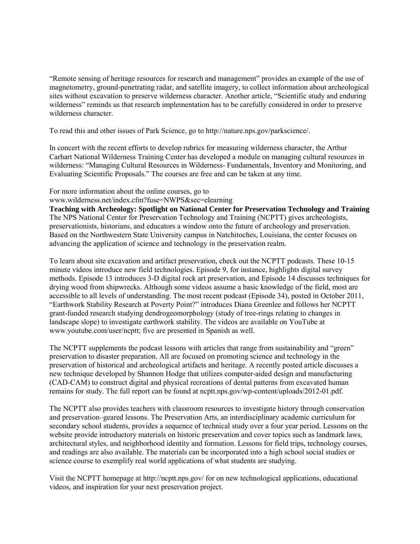"Remote sensing of heritage resources for research and management" provides an example of the use of magnetometry, ground-penetrating radar, and satellite imagery, to collect information about archeological sites without excavation to preserve wilderness character. Another article, "Scientific study and enduring wilderness" reminds us that research implementation has to be carefully considered in order to preserve wilderness character.

To read this and other issues of Park Science, go to <http://nature.nps.gov/parkscience/>.

In concert with the recent efforts to develop rubrics for measuring wilderness character, the Arthur Carhart National Wilderness Training Center has developed a module on managing cultural resources in wilderness: "Managing Cultural Resources in Wilderness- Fundamentals, Inventory and Monitoring, and Evaluating Scientific Proposals." The courses are free and can be taken at any time.

# For more information about the online courses, go to

www.wilderness.net/index.cfm?fuse=NWPS&sec=elearning

**Teaching with Archeology: Spotlight on National Center for Preservation Technology and Training**  The NPS National Center for Preservation Technology and Training (NCPTT) gives archeologists, preservationists, historians, and educators a window onto the future of archeology and preservation. Based on the Northwestern State University campus in Natchitoches, Louisiana, the center focuses on advancing the application of science and technology in the preservation realm.

To learn about site excavation and artifact preservation, check out the NCPTT podcasts. These 10-15 minute videos introduce new field technologies. Episode 9, for instance, highlights digital survey methods. Episode 13 introduces 3-D digital rock art preservation, and Episode 14 discusses techniques for drying wood from shipwrecks. Although some videos assume a basic knowledge of the field, most are accessible to all levels of understanding. The most recent podcast (Episode 34), posted in October 2011, "Earthwork Stability Research at Poverty Point?" introduces Diana Greenlee and follows her NCPTT grant-funded research studying dendrogeomorphology (study of tree-rings relating to changes in landscape slope) to investigate earthwork stability. The videos are available on YouTube at www.youtube.com/user/ncptt; five are presented in Spanish as well.

The NCPTT supplements the podcast lessons with articles that range from sustainability and "green" preservation to disaster preparation. All are focused on promoting science and technology in the preservation of historical and archeological artifacts and heritage. A recently posted article discusses a new technique developed by Shannon Hodge that utilizes computer-aided design and manufacturing (CAD-CAM) to construct digital and physical recreations of dental patterns from excavated human remains for study. The full report can be found at ncptt.nps.gov/wp-content/uploads/2012-01.pdf.

The NCPTT also provides teachers with classroom resources to investigate history through conservation and preservation–geared lessons. The Preservation Arts, an interdisciplinary academic curriculum for secondary school students, provides a sequence of technical study over a four year period. Lessons on the website provide introductory materials on historic preservation and cover topics such as landmark laws, architectural styles, and neighborhood identity and formation. Lessons for field trips, technology courses, and readings are also available. The materials can be incorporated into a high school social studies or science course to exemplify real world applications of what students are studying.

Visit the NCPTT homepage at http://ncptt.nps.gov/ for on new technological applications, educational videos, and inspiration for your next preservation project.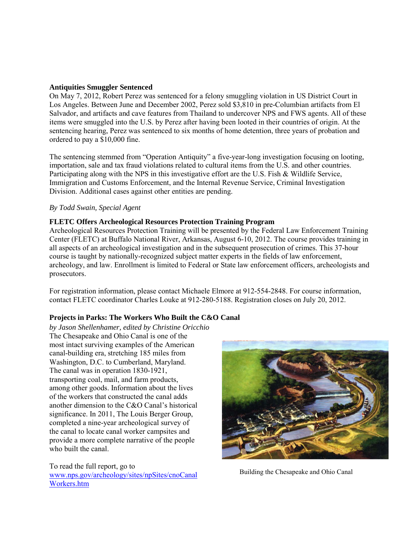## **Antiquities Smuggler Sentenced**

On May 7, 2012, Robert Perez was sentenced for a felony smuggling violation in US District Court in Los Angeles. Between June and December 2002, Perez sold \$3,810 in pre-Columbian artifacts from El Salvador, and artifacts and cave features from Thailand to undercover NPS and FWS agents. All of these items were smuggled into the U.S. by Perez after having been looted in their countries of origin. At the sentencing hearing, Perez was sentenced to six months of home detention, three years of probation and ordered to pay a \$10,000 fine.

The sentencing stemmed from "Operation Antiquity" a five-year-long investigation focusing on looting, importation, sale and tax fraud violations related to cultural items from the U.S. and other countries. Participating along with the NPS in this investigative effort are the U.S. Fish & Wildlife Service, Immigration and Customs Enforcement, and the Internal Revenue Service, Criminal Investigation Division. Additional cases against other entities are pending.

#### *By Todd Swain, Special Agent*

#### **FLETC Offers Archeological Resources Protection Training Program**

Archeological Resources Protection Training will be presented by the Federal Law Enforcement Training Center (FLETC) at Buffalo National River, Arkansas, August 6-10, 2012. The course provides training in all aspects of an archeological investigation and in the subsequent prosecution of crimes. This 37-hour course is taught by nationally-recognized subject matter experts in the fields of law enforcement, archeology, and law. Enrollment is limited to Federal or State law enforcement officers, archeologists and prosecutors.

For registration information, please contact Michaele Elmore at 912-554-2848. For course information, contact FLETC coordinator Charles Louke at 912-280-5188. Registration closes on July 20, 2012.

## **Projects in Parks: The Workers Who Built the C&O Canal**

*by Jason Shellenhamer, edited by Christine Oricchio*  The Chesapeake and Ohio Canal is one of the most intact surviving examples of the American canal-building era, stretching 185 miles from Washington, D.C. to Cumberland, Maryland. The canal was in operation 1830-1921, transporting coal, mail, and farm products, among other goods. Information about the lives of the workers that constructed the canal adds another dimension to the C&O Canal's historical significance. In 2011, The Louis Berger Group, completed a nine-year archeological survey of the canal to locate canal worker campsites and provide a more complete narrative of the people who built the canal.

To read the full report, go to [www.nps.gov/archeology/sites/npSites/cnoCanal](http://www.nps.gov/archeology/sites/npSites/cnoCanalWorkers.htm) [Workers.htm](http://www.nps.gov/archeology/sites/npSites/cnoCanalWorkers.htm)



Building the Chesapeake and Ohio Canal